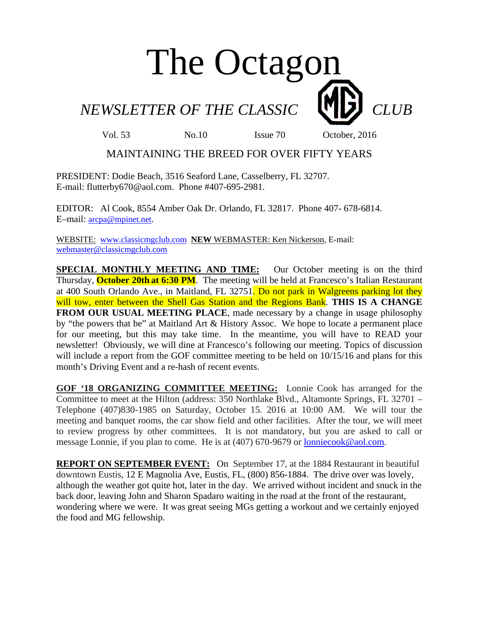# The Octagon

**NEWSLETTER OF THE CLASSIC CLUB** 

Vol. 53 No.10 Issue 70 October, 2016

# MAINTAINING THE BREED FOR OVER FIFTY YEARS

PRESIDENT: Dodie Beach, 3516 Seaford Lane, Casselberry, FL 32707. E-mail: flutterby670@aol.com. Phone #407-695-2981.

EDITOR: Al Cook, 8554 Amber Oak Dr. Orlando, FL 32817. Phone 407- 678-6814. E–mail: arcpa@mpinet.net.

WEBSITE: www.classicmgclub.com **NEW** WEBMASTER: Ken Nickerson, E-mail: webmaster@classicmgclub.com

**SPECIAL MONTHLY MEETING AND TIME:** Our October meeting is on the third Thursday, **October 20th at 6:30 PM**. The meeting will be held at Francesco's Italian Restaurant at 400 South Orlando Ave., in Maitland, FL 32751. Do not park in Walgreens parking lot they will tow, enter between the Shell Gas Station and the Regions Bank. **THIS IS A CHANGE FROM OUR USUAL MEETING PLACE**, made necessary by a change in usage philosophy by "the powers that be" at Maitland Art & History Assoc. We hope to locate a permanent place for our meeting, but this may take time. In the meantime, you will have to READ your newsletter! Obviously, we will dine at Francesco's following our meeting. Topics of discussion will include a report from the GOF committee meeting to be held on  $10/15/16$  and plans for this month's Driving Event and a re-hash of recent events.

**GOF '18 ORGANIZING COMMITTEE MEETING:** Lonnie Cook has arranged for the Committee to meet at the Hilton (address: 350 Northlake Blvd., Altamonte Springs, FL 32701 – Telephone (407)830-1985 on Saturday, October 15. 2016 at 10:00 AM. We will tour the meeting and banquet rooms, the car show field and other facilities. After the tour, we will meet to review progress by other committees. It is not mandatory, but you are asked to call or message Lonnie, if you plan to come. He is at (407) 670-9679 or lonniecook@aol.com.

**REPORT ON SEPTEMBER EVENT:** On September 17, at the 1884 Restaurant in beautiful downtown Eustis, 12 E Magnolia Ave, Eustis, FL, (800) 856-1884. The drive over was lovely, although the weather got quite hot, later in the day. We arrived without incident and snuck in the back door, leaving John and Sharon Spadaro waiting in the road at the front of the restaurant, wondering where we were. It was great seeing MGs getting a workout and we certainly enjoyed the food and MG fellowship.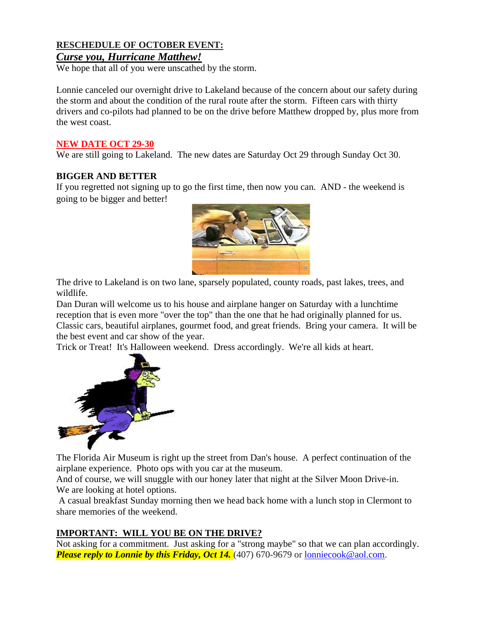## **RESCHEDULE OF OCTOBER EVENT:**

## *Curse you, Hurricane Matthew!*

We hope that all of you were unscathed by the storm.

Lonnie canceled our overnight drive to Lakeland because of the concern about our safety during the storm and about the condition of the rural route after the storm. Fifteen cars with thirty drivers and co-pilots had planned to be on the drive before Matthew dropped by, plus more from the west coast.

#### **NEW DATE OCT 29-30**

We are still going to Lakeland. The new dates are Saturday Oct 29 through Sunday Oct 30.

### **BIGGER AND BETTER**

If you regretted not signing up to go the first time, then now you can. AND - the weekend is going to be bigger and better!



The drive to Lakeland is on two lane, sparsely populated, county roads, past lakes, trees, and wildlife.

Dan Duran will welcome us to his house and airplane hanger on Saturday with a lunchtime reception that is even more "over the top" than the one that he had originally planned for us. Classic cars, beautiful airplanes, gourmet food, and great friends. Bring your camera. It will be the best event and car show of the year.

Trick or Treat! It's Halloween weekend. Dress accordingly. We're all kids at heart.



The Florida Air Museum is right up the street from Dan's house. A perfect continuation of the airplane experience. Photo ops with you car at the museum.

And of course, we will snuggle with our honey later that night at the Silver Moon Drive-in. We are looking at hotel options.

 A casual breakfast Sunday morning then we head back home with a lunch stop in Clermont to share memories of the weekend.

## **IMPORTANT: WILL YOU BE ON THE DRIVE?**

Not asking for a commitment. Just asking for a "strong maybe" so that we can plan accordingly. *Please reply to Lonnie by this Friday, Oct 14.* (407) 670-9679 or lonniecook@aol.com.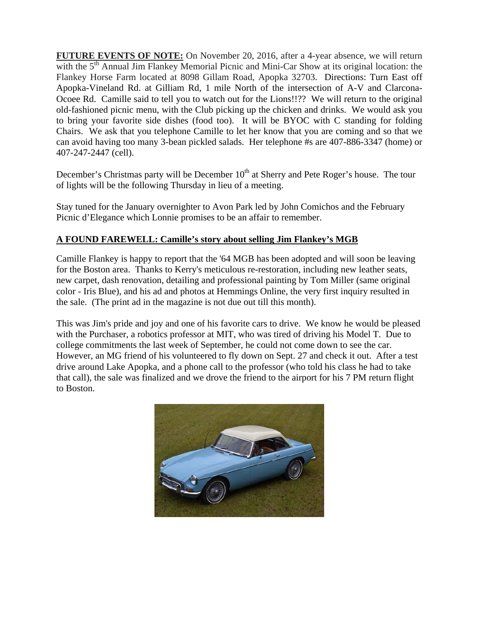**FUTURE EVENTS OF NOTE:** On November 20, 2016, after a 4-year absence, we will return with the 5<sup>th</sup> Annual Jim Flankey Memorial Picnic and Mini-Car Show at its original location: the Flankey Horse Farm located at 8098 Gillam Road, Apopka 32703. Directions: Turn East off Apopka-Vineland Rd. at Gilliam Rd, 1 mile North of the intersection of A-V and Clarcona-Ocoee Rd. Camille said to tell you to watch out for the Lions!!?? We will return to the original old-fashioned picnic menu, with the Club picking up the chicken and drinks. We would ask you to bring your favorite side dishes (food too). It will be BYOC with C standing for folding Chairs. We ask that you telephone Camille to let her know that you are coming and so that we can avoid having too many 3-bean pickled salads. Her telephone #s are 407-886-3347 (home) or 407-247-2447 (cell).

December's Christmas party will be December 10<sup>th</sup> at Sherry and Pete Roger's house. The tour of lights will be the following Thursday in lieu of a meeting.

Stay tuned for the January overnighter to Avon Park led by John Comichos and the February Picnic d'Elegance which Lonnie promises to be an affair to remember.

## **A FOUND FAREWELL: Camille's story about selling Jim Flankey's MGB**

Camille Flankey is happy to report that the '64 MGB has been adopted and will soon be leaving for the Boston area. Thanks to Kerry's meticulous re-restoration, including new leather seats, new carpet, dash renovation, detailing and professional painting by Tom Miller (same original color - Iris Blue), and his ad and photos at Hemmings Online, the very first inquiry resulted in the sale. (The print ad in the magazine is not due out till this month).

This was Jim's pride and joy and one of his favorite cars to drive. We know he would be pleased with the Purchaser, a robotics professor at MIT, who was tired of driving his Model T. Due to college commitments the last week of September, he could not come down to see the car. However, an MG friend of his volunteered to fly down on Sept. 27 and check it out. After a test drive around Lake Apopka, and a phone call to the professor (who told his class he had to take that call), the sale was finalized and we drove the friend to the airport for his 7 PM return flight to Boston.

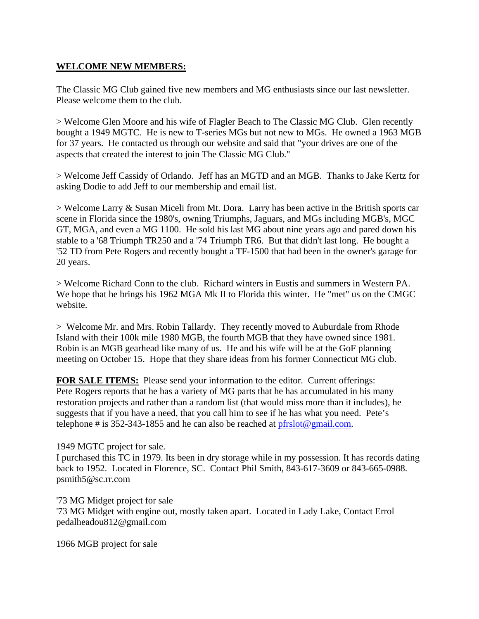### **WELCOME NEW MEMBERS:**

The Classic MG Club gained five new members and MG enthusiasts since our last newsletter. Please welcome them to the club.

> Welcome Glen Moore and his wife of Flagler Beach to The Classic MG Club. Glen recently bought a 1949 MGTC. He is new to T-series MGs but not new to MGs. He owned a 1963 MGB for 37 years. He contacted us through our website and said that "your drives are one of the aspects that created the interest to join The Classic MG Club."

> Welcome Jeff Cassidy of Orlando. Jeff has an MGTD and an MGB. Thanks to Jake Kertz for asking Dodie to add Jeff to our membership and email list.

 $>$  Welcome Larry  $\&$  Susan Miceli from Mt. Dora. Larry has been active in the British sports car scene in Florida since the 1980's, owning Triumphs, Jaguars, and MGs including MGB's, MGC GT, MGA, and even a MG 1100. He sold his last MG about nine years ago and pared down his stable to a '68 Triumph TR250 and a '74 Triumph TR6. But that didn't last long. He bought a '52 TD from Pete Rogers and recently bought a TF-1500 that had been in the owner's garage for 20 years.

> Welcome Richard Conn to the club. Richard winters in Eustis and summers in Western PA. We hope that he brings his 1962 MGA Mk II to Florida this winter. He "met" us on the CMGC website.

> Welcome Mr. and Mrs. Robin Tallardy. They recently moved to Auburdale from Rhode Island with their 100k mile 1980 MGB, the fourth MGB that they have owned since 1981. Robin is an MGB gearhead like many of us. He and his wife will be at the GoF planning meeting on October 15. Hope that they share ideas from his former Connecticut MG club.

**FOR SALE ITEMS:** Please send your information to the editor. Current offerings: Pete Rogers reports that he has a variety of MG parts that he has accumulated in his many restoration projects and rather than a random list (that would miss more than it includes), he suggests that if you have a need, that you call him to see if he has what you need. Pete's telephone # is 352-343-1855 and he can also be reached at  $pfrslot@gmail.com$ .

#### 1949 MGTC project for sale.

I purchased this TC in 1979. Its been in dry storage while in my possession. It has records dating back to 1952. Located in Florence, SC. Contact Phil Smith, 843-617-3609 or 843-665-0988. psmith5@sc.rr.com

'73 MG Midget project for sale

'73 MG Midget with engine out, mostly taken apart. Located in Lady Lake, Contact Errol pedalheadou812@gmail.com

1966 MGB project for sale